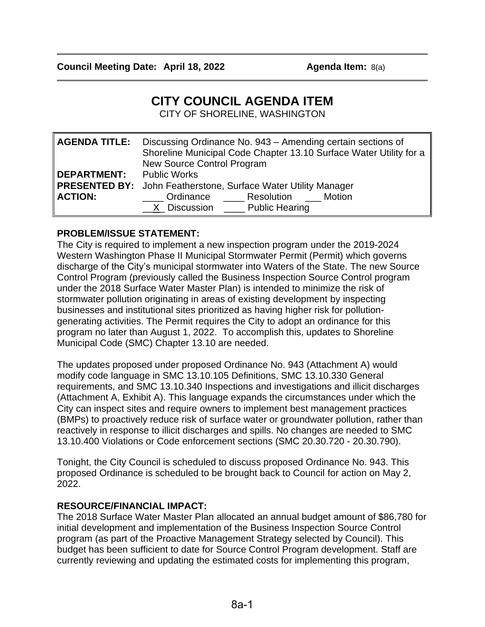# **CITY COUNCIL AGENDA ITEM**

CITY OF SHORELINE, WASHINGTON

| <b>AGENDA TITLE:</b>            | Discussing Ordinance No. 943 - Amending certain sections of<br>Shoreline Municipal Code Chapter 13.10 Surface Water Utility for a<br>New Source Control Program |
|---------------------------------|-----------------------------------------------------------------------------------------------------------------------------------------------------------------|
| <b>DEPARTMENT:</b> Public Works |                                                                                                                                                                 |
|                                 | <b>PRESENTED BY:</b> John Featherstone, Surface Water Utility Manager                                                                                           |
| <b>ACTION:</b>                  | Ordinance Resolution Motion                                                                                                                                     |
|                                 | X Discussion Public Hearing                                                                                                                                     |

### **PROBLEM/ISSUE STATEMENT:**

The City is required to implement a new inspection program under the 2019-2024 Western Washington Phase II Municipal Stormwater Permit (Permit) which governs discharge of the City's municipal stormwater into Waters of the State. The new Source Control Program (previously called the Business Inspection Source Control program under the 2018 Surface Water Master Plan) is intended to minimize the risk of stormwater pollution originating in areas of existing development by inspecting businesses and institutional sites prioritized as having higher risk for pollutiongenerating activities. The Permit requires the City to adopt an ordinance for this program no later than August 1, 2022. To accomplish this, updates to Shoreline Municipal Code (SMC) Chapter 13.10 are needed.

The updates proposed under proposed Ordinance No. 943 (Attachment A) would modify code language in SMC 13.10.105 Definitions, SMC 13.10.330 General requirements, and SMC 13.10.340 Inspections and investigations and illicit discharges (Attachment A, Exhibit A). This language expands the circumstances under which the City can inspect sites and require owners to implement best management practices (BMPs) to proactively reduce risk of surface water or groundwater pollution, rather than reactively in response to illicit discharges and spills. No changes are needed to SMC 13.10.400 Violations or Code enforcement sections (SMC 20.30.720 - 20.30.790).

Tonight, the City Council is scheduled to discuss proposed Ordinance No. 943. This proposed Ordinance is scheduled to be brought back to Council for action on May 2, 2022.

### **RESOURCE/FINANCIAL IMPACT:**

The 2018 Surface Water Master Plan allocated an annual budget amount of \$86,780 for initial development and implementation of the Business Inspection Source Control program (as part of the Proactive Management Strategy selected by Council). This budget has been sufficient to date for Source Control Program development. Staff are currently reviewing and updating the estimated costs for implementing this program,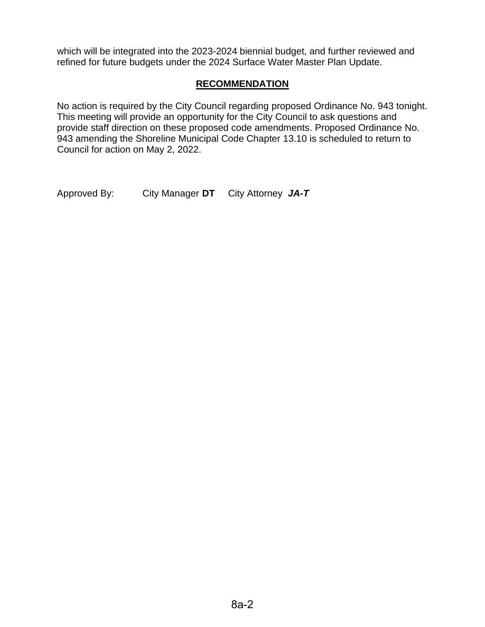which will be integrated into the 2023-2024 biennial budget, and further reviewed and refined for future budgets under the 2024 Surface Water Master Plan Update.

# **RECOMMENDATION**

No action is required by the City Council regarding proposed Ordinance No. 943 tonight. This meeting will provide an opportunity for the City Council to ask questions and provide staff direction on these proposed code amendments. Proposed Ordinance No. 943 amending the Shoreline Municipal Code Chapter 13.10 is scheduled to return to Council for action on May 2, 2022.

Approved By: City Manager **DT** City Attorney *JA-T*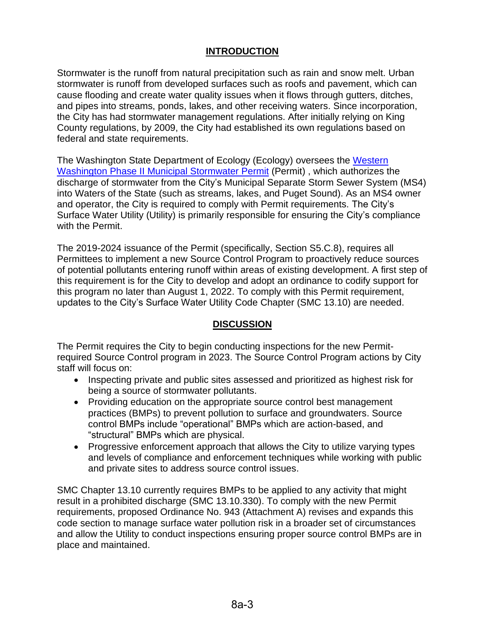# **INTRODUCTION**

Stormwater is the runoff from natural precipitation such as rain and snow melt. Urban stormwater is runoff from developed surfaces such as roofs and pavement, which can cause flooding and create water quality issues when it flows through gutters, ditches, and pipes into streams, ponds, lakes, and other receiving waters. Since incorporation, the City has had stormwater management regulations. After initially relying on King County regulations, by 2009, the City had established its own regulations based on federal and state requirements.

The Washington State Department of Ecology (Ecology) oversees the Western [Washington Phase II Municipal Stormwater Permit](https://apps.ecology.wa.gov/paris/DownloadDocument.aspx?id=279628) (Permit) , which authorizes the discharge of stormwater from the City's Municipal Separate Storm Sewer System (MS4) into Waters of the State (such as streams, lakes, and Puget Sound). As an MS4 owner and operator, the City is required to comply with Permit requirements. The City's Surface Water Utility (Utility) is primarily responsible for ensuring the City's compliance with the Permit.

The 2019-2024 issuance of the Permit (specifically, Section S5.C.8), requires all Permittees to implement a new Source Control Program to proactively reduce sources of potential pollutants entering runoff within areas of existing development. A first step of this requirement is for the City to develop and adopt an ordinance to codify support for this program no later than August 1, 2022. To comply with this Permit requirement, updates to the City's Surface Water Utility Code Chapter (SMC 13.10) are needed.

### **DISCUSSION**

The Permit requires the City to begin conducting inspections for the new Permitrequired Source Control program in 2023. The Source Control Program actions by City staff will focus on:

- Inspecting private and public sites assessed and prioritized as highest risk for being a source of stormwater pollutants.
- Providing education on the appropriate source control best management practices (BMPs) to prevent pollution to surface and groundwaters. Source control BMPs include "operational" BMPs which are action-based, and "structural" BMPs which are physical.
- Progressive enforcement approach that allows the City to utilize varying types and levels of compliance and enforcement techniques while working with public and private sites to address source control issues.

SMC Chapter 13.10 currently requires BMPs to be applied to any activity that might result in a prohibited discharge (SMC 13.10.330). To comply with the new Permit requirements, proposed Ordinance No. 943 (Attachment A) revises and expands this code section to manage surface water pollution risk in a broader set of circumstances and allow the Utility to conduct inspections ensuring proper source control BMPs are in place and maintained.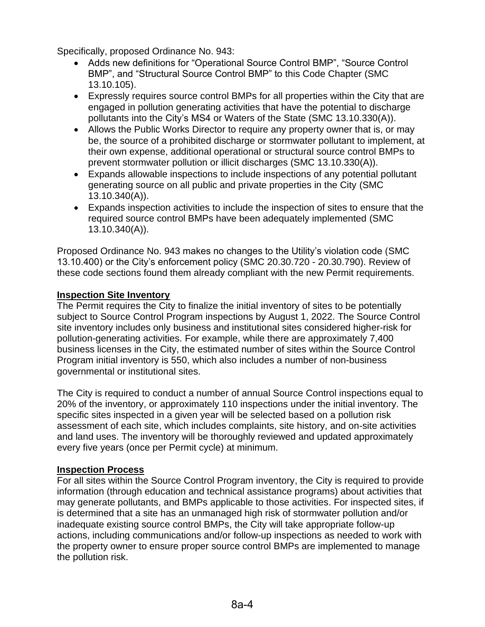Specifically, proposed Ordinance No. 943:

- Adds new definitions for "Operational Source Control BMP", "Source Control BMP", and "Structural Source Control BMP" to this Code Chapter (SMC 13.10.105).
- Expressly requires source control BMPs for all properties within the City that are engaged in pollution generating activities that have the potential to discharge pollutants into the City's MS4 or Waters of the State (SMC 13.10.330(A)).
- Allows the Public Works Director to require any property owner that is, or may be, the source of a prohibited discharge or stormwater pollutant to implement, at their own expense, additional operational or structural source control BMPs to prevent stormwater pollution or illicit discharges (SMC 13.10.330(A)).
- Expands allowable inspections to include inspections of any potential pollutant generating source on all public and private properties in the City (SMC 13.10.340(A)).
- Expands inspection activities to include the inspection of sites to ensure that the required source control BMPs have been adequately implemented (SMC 13.10.340(A)).

Proposed Ordinance No. 943 makes no changes to the Utility's violation code (SMC 13.10.400) or the City's enforcement policy (SMC 20.30.720 - 20.30.790). Review of these code sections found them already compliant with the new Permit requirements.

# **Inspection Site Inventory**

The Permit requires the City to finalize the initial inventory of sites to be potentially subject to Source Control Program inspections by August 1, 2022. The Source Control site inventory includes only business and institutional sites considered higher-risk for pollution-generating activities. For example, while there are approximately 7,400 business licenses in the City, the estimated number of sites within the Source Control Program initial inventory is 550, which also includes a number of non-business governmental or institutional sites.

The City is required to conduct a number of annual Source Control inspections equal to 20% of the inventory, or approximately 110 inspections under the initial inventory. The specific sites inspected in a given year will be selected based on a pollution risk assessment of each site, which includes complaints, site history, and on-site activities and land uses. The inventory will be thoroughly reviewed and updated approximately every five years (once per Permit cycle) at minimum.

# **Inspection Process**

For all sites within the Source Control Program inventory, the City is required to provide information (through education and technical assistance programs) about activities that may generate pollutants, and BMPs applicable to those activities. For inspected sites, if is determined that a site has an unmanaged high risk of stormwater pollution and/or inadequate existing source control BMPs, the City will take appropriate follow-up actions, including communications and/or follow-up inspections as needed to work with the property owner to ensure proper source control BMPs are implemented to manage the pollution risk.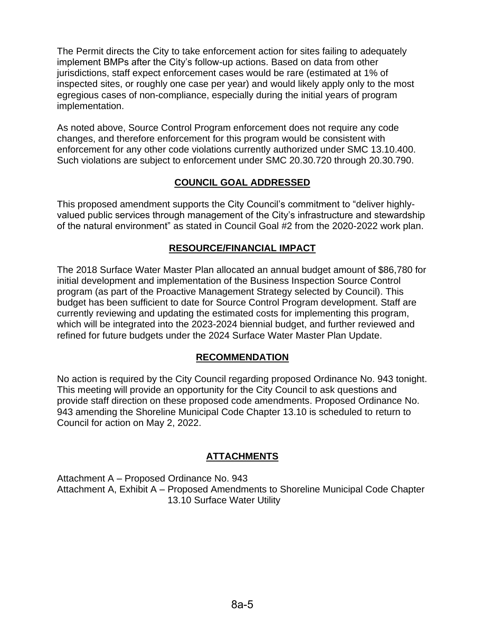The Permit directs the City to take enforcement action for sites failing to adequately implement BMPs after the City's follow-up actions. Based on data from other jurisdictions, staff expect enforcement cases would be rare (estimated at 1% of inspected sites, or roughly one case per year) and would likely apply only to the most egregious cases of non-compliance, especially during the initial years of program implementation.

As noted above, Source Control Program enforcement does not require any code changes, and therefore enforcement for this program would be consistent with enforcement for any other code violations currently authorized under SMC 13.10.400. Such violations are subject to enforcement under SMC 20.30.720 through 20.30.790.

## **COUNCIL GOAL ADDRESSED**

This proposed amendment supports the City Council's commitment to "deliver highlyvalued public services through management of the City's infrastructure and stewardship of the natural environment" as stated in Council Goal #2 from the 2020-2022 work plan.

### **RESOURCE/FINANCIAL IMPACT**

The 2018 Surface Water Master Plan allocated an annual budget amount of \$86,780 for initial development and implementation of the Business Inspection Source Control program (as part of the Proactive Management Strategy selected by Council). This budget has been sufficient to date for Source Control Program development. Staff are currently reviewing and updating the estimated costs for implementing this program, which will be integrated into the 2023-2024 biennial budget, and further reviewed and refined for future budgets under the 2024 Surface Water Master Plan Update.

### **RECOMMENDATION**

No action is required by the City Council regarding proposed Ordinance No. 943 tonight. This meeting will provide an opportunity for the City Council to ask questions and provide staff direction on these proposed code amendments. Proposed Ordinance No. 943 amending the Shoreline Municipal Code Chapter 13.10 is scheduled to return to Council for action on May 2, 2022.

# **ATTACHMENTS**

Attachment A – Proposed Ordinance No. 943 Attachment A, Exhibit A – Proposed Amendments to Shoreline Municipal Code Chapter 13.10 Surface Water Utility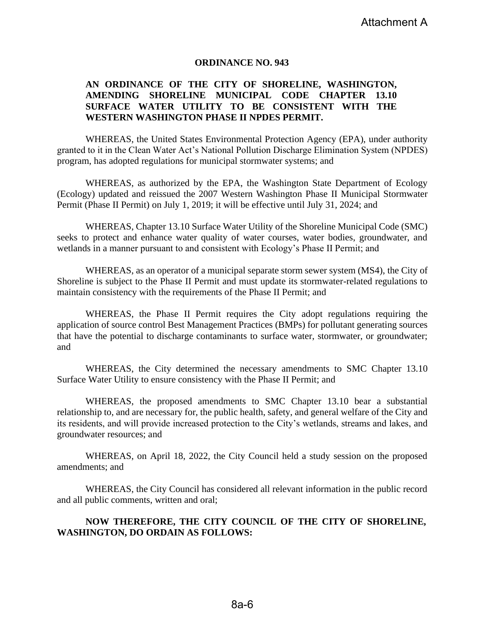### **ORDINANCE NO. 943**

### **AN ORDINANCE OF THE CITY OF SHORELINE, WASHINGTON, AMENDING SHORELINE MUNICIPAL CODE CHAPTER 13.10 SURFACE WATER UTILITY TO BE CONSISTENT WITH THE WESTERN WASHINGTON PHASE II NPDES PERMIT.**

WHEREAS, the United States Environmental Protection Agency (EPA), under authority granted to it in the Clean Water Act's National Pollution Discharge Elimination System (NPDES) program, has adopted regulations for municipal stormwater systems; and

WHEREAS, as authorized by the EPA, the Washington State Department of Ecology (Ecology) updated and reissued the 2007 Western Washington Phase II Municipal Stormwater Permit (Phase II Permit) on July 1, 2019; it will be effective until July 31, 2024; and

WHEREAS, Chapter 13.10 Surface Water Utility of the Shoreline Municipal Code (SMC) seeks to protect and enhance water quality of water courses, water bodies, groundwater, and wetlands in a manner pursuant to and consistent with Ecology's Phase II Permit; and

WHEREAS, as an operator of a municipal separate storm sewer system (MS4), the City of Shoreline is subject to the Phase II Permit and must update its stormwater-related regulations to maintain consistency with the requirements of the Phase II Permit; and

WHEREAS, the Phase II Permit requires the City adopt regulations requiring the application of source control Best Management Practices (BMPs) for pollutant generating sources that have the potential to discharge contaminants to surface water, stormwater, or groundwater; and

WHEREAS, the City determined the necessary amendments to SMC Chapter 13.10 Surface Water Utility to ensure consistency with the Phase II Permit; and

WHEREAS, the proposed amendments to SMC Chapter 13.10 bear a substantial relationship to, and are necessary for, the public health, safety, and general welfare of the City and its residents, and will provide increased protection to the City's wetlands, streams and lakes, and groundwater resources; and

WHEREAS, on April 18, 2022, the City Council held a study session on the proposed amendments; and

WHEREAS, the City Council has considered all relevant information in the public record and all public comments, written and oral;

### **NOW THEREFORE, THE CITY COUNCIL OF THE CITY OF SHORELINE, WASHINGTON, DO ORDAIN AS FOLLOWS:**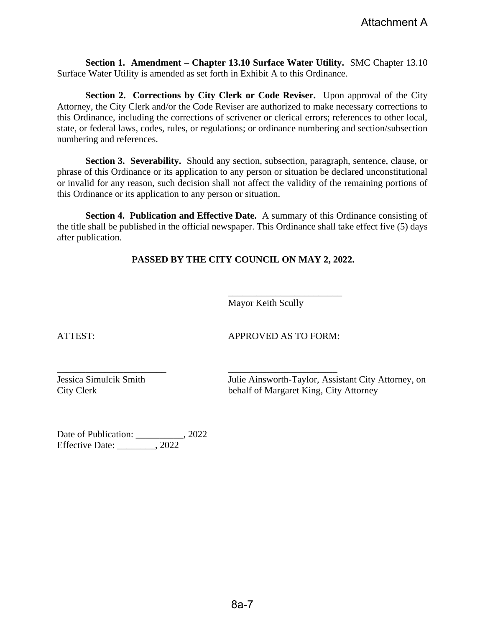**Section 1. Amendment – Chapter 13.10 Surface Water Utility.** SMC Chapter 13.10 Surface Water Utility is amended as set forth in Exhibit A to this Ordinance.

**Section 2. Corrections by City Clerk or Code Reviser.** Upon approval of the City Attorney, the City Clerk and/or the Code Reviser are authorized to make necessary corrections to this Ordinance, including the corrections of scrivener or clerical errors; references to other local, state, or federal laws, codes, rules, or regulations; or ordinance numbering and section/subsection numbering and references.

**Section 3. Severability.** Should any section, subsection, paragraph, sentence, clause, or phrase of this Ordinance or its application to any person or situation be declared unconstitutional or invalid for any reason, such decision shall not affect the validity of the remaining portions of this Ordinance or its application to any person or situation.

**Section 4. Publication and Effective Date.** A summary of this Ordinance consisting of the title shall be published in the official newspaper. This Ordinance shall take effect five (5) days after publication.

**PASSED BY THE CITY COUNCIL ON MAY 2, 2022.**

\_\_\_\_\_\_\_\_\_\_\_\_\_\_\_\_\_\_\_\_\_\_\_ \_\_\_\_\_\_\_\_\_\_\_\_\_\_\_\_\_\_\_\_\_\_\_

Mayor Keith Scully

ATTEST: APPROVED AS TO FORM:

\_\_\_\_\_\_\_\_\_\_\_\_\_\_\_\_\_\_\_\_\_\_\_\_

Jessica Simulcik Smith Julie Ainsworth-Taylor, Assistant City Attorney, on City Clerk behalf of Margaret King, City Attorney

Date of Publication: \_\_\_\_\_\_\_\_\_, 2022 Effective Date: \_\_\_\_\_\_\_\_, 2022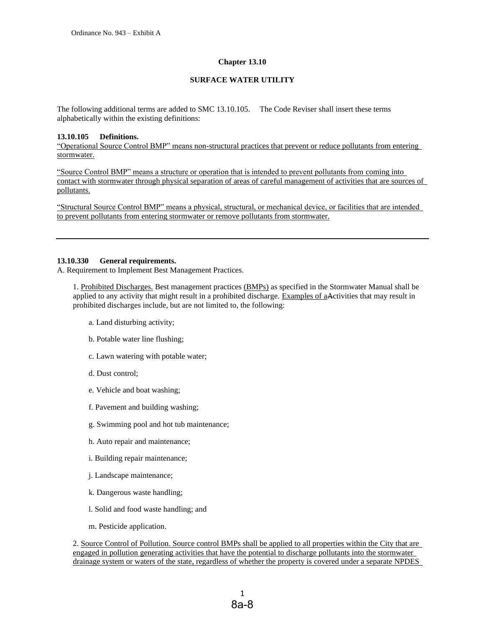#### **Chapter 13.10**

#### **SURFACE WATER UTILITY**

The following additional terms are added to SMC 13.10.105. The Code Reviser shall insert these terms alphabetically within the existing definitions:

#### **13.10.105 Definitions.**

"Operational Source Control BMP" means non-structural practices that prevent or reduce pollutants from entering stormwater.

"Source Control BMP" means a structure or operation that is intended to prevent pollutants from coming into contact with stormwater through physical separation of areas of careful management of activities that are sources of pollutants.

"Structural Source Control BMP" means a physical, structural, or mechanical device, or facilities that are intended to prevent pollutants from entering stormwater or remove pollutants from stormwater.

#### **13.10.330 General requirements.**

A. Requirement to Implement Best Management Practices.

1. Prohibited Discharges. Best management practices (BMPs) as specified in the Stormwater Manual shall be applied to any activity that might result in a prohibited discharge. Examples of aActivities that may result in prohibited discharges include, but are not limited to, the following:

- a. Land disturbing activity;
- b. Potable water line flushing;
- c. Lawn watering with potable water;
- d. Dust control;
- e. Vehicle and boat washing;
- f. Pavement and building washing;
- g. Swimming pool and hot tub maintenance;
- h. Auto repair and maintenance;
- i. Building repair maintenance;
- j. Landscape maintenance;
- k. Dangerous waste handling;
- l. Solid and food waste handling; and
- m. Pesticide application.

2. Source Control of Pollution. Source control BMPs shall be applied to all properties within the City that are engaged in pollution generating activities that have the potential to discharge pollutants into the stormwater drainage system or waters of the state, regardless of whether the property is covered under a separate NPDES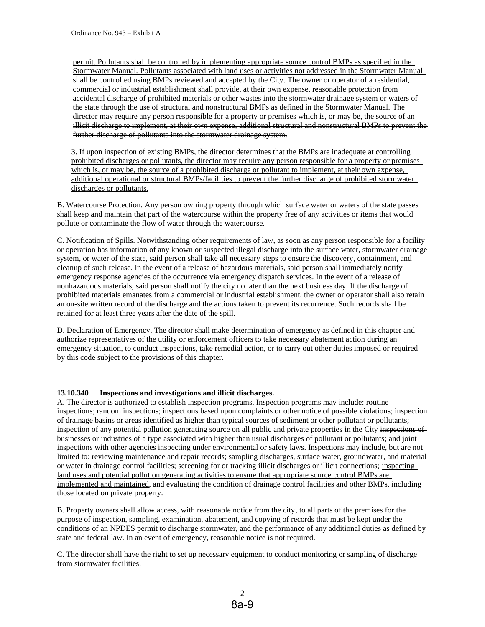permit. Pollutants shall be controlled by implementing appropriate source control BMPs as specified in the Stormwater Manual. Pollutants associated with land uses or activities not addressed in the Stormwater Manual shall be controlled using BMPs reviewed and accepted by the City. The owner or operator of a residential, commercial or industrial establishment shall provide, at their own expense, reasonable protection from accidental discharge of prohibited materials or other wastes into the stormwater drainage system or waters of the state through the use of structural and nonstructural BMPs as defined in the Stormwater Manual. The director may require any person responsible for a property or premises which is, or may be, the source of an illicit discharge to implement, at their own expense, additional structural and nonstructural BMPs to prevent the further discharge of pollutants into the stormwater drainage system.

3. If upon inspection of existing BMPs, the director determines that the BMPs are inadequate at controlling prohibited discharges or pollutants, the director may require any person responsible for a property or premises which is, or may be, the source of a prohibited discharge or pollutant to implement, at their own expense, additional operational or structural BMPs/facilities to prevent the further discharge of prohibited stormwater discharges or pollutants.

B. Watercourse Protection. Any person owning property through which surface water or waters of the state passes shall keep and maintain that part of the watercourse within the property free of any activities or items that would pollute or contaminate the flow of water through the watercourse.

C. Notification of Spills. Notwithstanding other requirements of law, as soon as any person responsible for a facility or operation has information of any known or suspected illegal discharge into the surface water, stormwater drainage system, or water of the state, said person shall take all necessary steps to ensure the discovery, containment, and cleanup of such release. In the event of a release of hazardous materials, said person shall immediately notify emergency response agencies of the occurrence via emergency dispatch services. In the event of a release of nonhazardous materials, said person shall notify the city no later than the next business day. If the discharge of prohibited materials emanates from a commercial or industrial establishment, the owner or operator shall also retain an on-site written record of the discharge and the actions taken to prevent its recurrence. Such records shall be retained for at least three years after the date of the spill.

D. Declaration of Emergency. The director shall make determination of emergency as defined in this chapter and authorize representatives of the utility or enforcement officers to take necessary abatement action during an emergency situation, to conduct inspections, take remedial action, or to carry out other duties imposed or required by this code subject to the provisions of this chapter.

#### **13.10.340 Inspections and investigations and illicit discharges.**

A. The director is authorized to establish inspection programs. Inspection programs may include: routine inspections; random inspections; inspections based upon complaints or other notice of possible violations; inspection of drainage basins or areas identified as higher than typical sources of sediment or other pollutant or pollutants; inspection of any potential pollution generating source on all public and private properties in the City inspections of businesses or industries of a type associated with higher than usual discharges of pollutant or pollutants; and joint inspections with other agencies inspecting under environmental or safety laws. Inspections may include, but are not limited to: reviewing maintenance and repair records; sampling discharges, surface water, groundwater, and material or water in drainage control facilities; screening for or tracking illicit discharges or illicit connections; inspecting land uses and potential pollution generating activities to ensure that appropriate source control BMPs are implemented and maintained, and evaluating the condition of drainage control facilities and other BMPs, including those located on private property.

B. Property owners shall allow access, with reasonable notice from the city, to all parts of the premises for the purpose of inspection, sampling, examination, abatement, and copying of records that must be kept under the conditions of an NPDES permit to discharge stormwater, and the performance of any additional duties as defined by state and federal law. In an event of emergency, reasonable notice is not required.

C. The director shall have the right to set up necessary equipment to conduct monitoring or sampling of discharge from stormwater facilities.